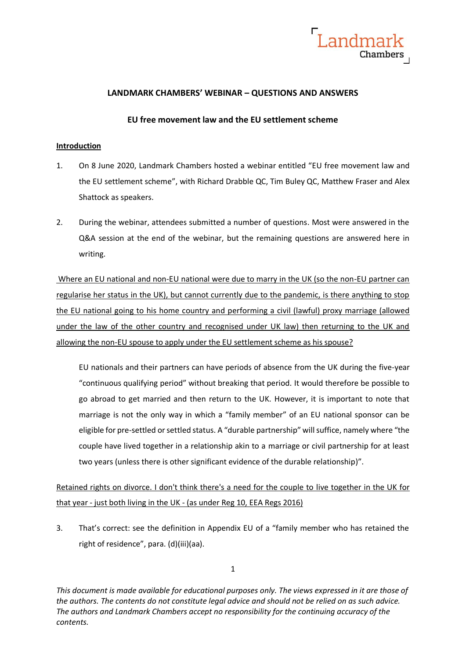

## **LANDMARK CHAMBERS' WEBINAR – QUESTIONS AND ANSWERS**

### **EU free movement law and the EU settlement scheme**

#### **Introduction**

- 1. On 8 June 2020, Landmark Chambers hosted a webinar entitled "EU free movement law and the EU settlement scheme", with Richard Drabble QC, Tim Buley QC, Matthew Fraser and Alex Shattock as speakers.
- 2. During the webinar, attendees submitted a number of questions. Most were answered in the Q&A session at the end of the webinar, but the remaining questions are answered here in writing.

Where an EU national and non-EU national were due to marry in the UK (so the non-EU partner can regularise her status in the UK), but cannot currently due to the pandemic, is there anything to stop the EU national going to his home country and performing a civil (lawful) proxy marriage (allowed under the law of the other country and recognised under UK law) then returning to the UK and allowing the non-EU spouse to apply under the EU settlement scheme as his spouse?

EU nationals and their partners can have periods of absence from the UK during the five-year "continuous qualifying period" without breaking that period. It would therefore be possible to go abroad to get married and then return to the UK. However, it is important to note that marriage is not the only way in which a "family member" of an EU national sponsor can be eligible for pre-settled or settled status. A "durable partnership" will suffice, namely where "the couple have lived together in a relationship akin to a marriage or civil partnership for at least two years (unless there is other significant evidence of the durable relationship)".

Retained rights on divorce. I don't think there's a need for the couple to live together in the UK for that year - just both living in the UK - (as under Reg 10, EEA Regs 2016)

3. That's correct: see the definition in Appendix EU of a "family member who has retained the right of residence", para. (d)(iii)(aa).

1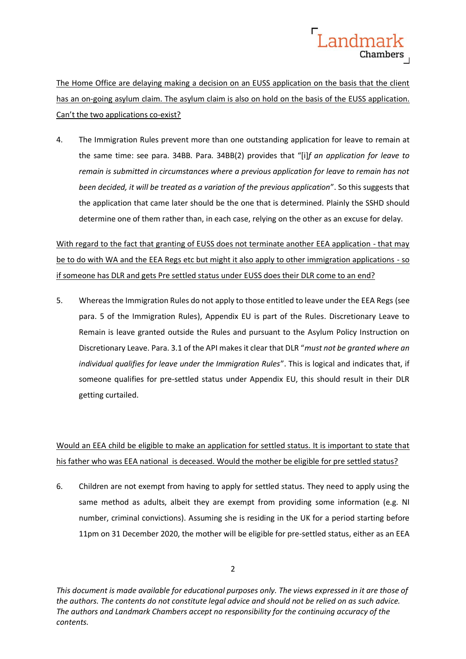

The Home Office are delaying making a decision on an EUSS application on the basis that the client has an on-going asylum claim. The asylum claim is also on hold on the basis of the EUSS application. Can't the two applications co-exist?

4. The Immigration Rules prevent more than one outstanding application for leave to remain at the same time: see para. 34BB. Para. 34BB(2) provides that "[i]*f an application for leave to remain is submitted in circumstances where a previous application for leave to remain has not been decided, it will be treated as a variation of the previous application*". So this suggests that the application that came later should be the one that is determined. Plainly the SSHD should determine one of them rather than, in each case, relying on the other as an excuse for delay.

With regard to the fact that granting of EUSS does not terminate another EEA application - that may be to do with WA and the EEA Regs etc but might it also apply to other immigration applications - so if someone has DLR and gets Pre settled status under EUSS does their DLR come to an end?

5. Whereas the Immigration Rules do not apply to those entitled to leave under the EEA Regs (see para. 5 of the Immigration Rules), Appendix EU is part of the Rules. Discretionary Leave to Remain is leave granted outside the Rules and pursuant to the Asylum Policy Instruction on Discretionary Leave. Para. 3.1 of the API makes it clear that DLR "*must not be granted where an individual qualifies for leave under the Immigration Rules*". This is logical and indicates that, if someone qualifies for pre-settled status under Appendix EU, this should result in their DLR getting curtailed.

# Would an EEA child be eligible to make an application for settled status. It is important to state that his father who was EEA national is deceased. Would the mother be eligible for pre settled status?

6. Children are not exempt from having to apply for settled status. They need to apply using the same method as adults, albeit they are exempt from providing some information (e.g. NI number, criminal convictions). Assuming she is residing in the UK for a period starting before 11pm on 31 December 2020, the mother will be eligible for pre-settled status, either as an EEA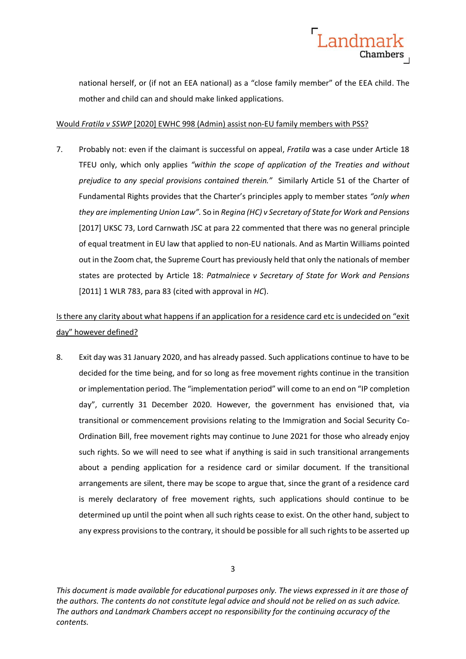

national herself, or (if not an EEA national) as a "close family member" of the EEA child. The mother and child can and should make linked applications.

#### Would *Fratila v SSWP* [2020] EWHC 998 (Admin) assist non-EU family members with PSS?

7. Probably not: even if the claimant is successful on appeal, *Fratila* was a case under Article 18 TFEU only, which only applies *"within the scope of application of the Treaties and without prejudice to any special provisions contained therein."* Similarly Article 51 of the Charter of Fundamental Rights provides that the Charter's principles apply to member states *"only when they are implementing Union Law".* So in *Regina (HC) v Secretary of State for Work and Pensions*  [2017] UKSC 73, Lord Carnwath JSC at para 22 commented that there was no general principle of equal treatment in EU law that applied to non-EU nationals. And as Martin Williams pointed out in the Zoom chat, the Supreme Court has previously held that only the nationals of member states are protected by Article 18: *Patmalniece v Secretary of State for Work and Pensions* [2011] 1 WLR 783, para 83 (cited with approval in *HC*).

# Is there any clarity about what happens if an application for a residence card etc is undecided on "exit day" however defined?

8. Exit day was 31 January 2020, and has already passed. Such applications continue to have to be decided for the time being, and for so long as free movement rights continue in the transition or implementation period. The "implementation period" will come to an end on "IP completion day", currently 31 December 2020. However, the government has envisioned that, via transitional or commencement provisions relating to the Immigration and Social Security Co-Ordination Bill, free movement rights may continue to June 2021 for those who already enjoy such rights. So we will need to see what if anything is said in such transitional arrangements about a pending application for a residence card or similar document. If the transitional arrangements are silent, there may be scope to argue that, since the grant of a residence card is merely declaratory of free movement rights, such applications should continue to be determined up until the point when all such rights cease to exist. On the other hand, subject to any express provisions to the contrary, it should be possible for all such rights to be asserted up